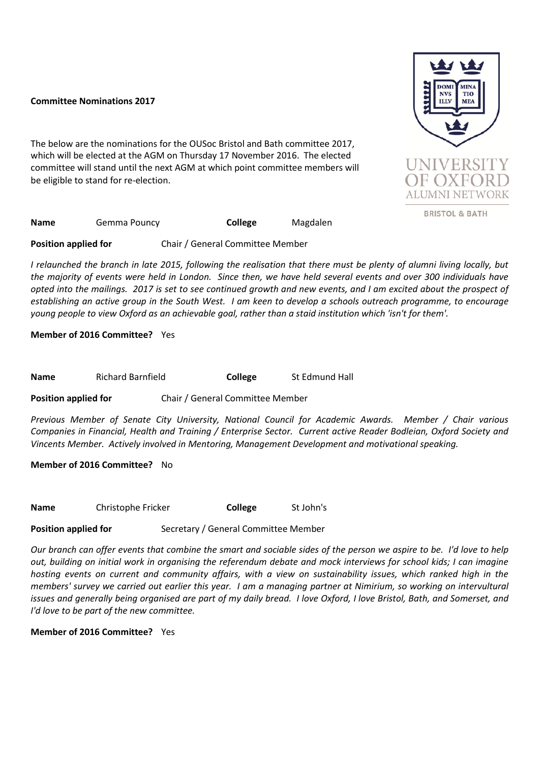## **Committee Nominations 2017**

The below are the nominations for the OUSoc Bristol and Bath committee 2017, which will be elected at the AGM on Thursday 17 November 2016. The elected committee will stand until the next AGM at which point committee members will be eligible to stand for re-election.



**BRISTOL & BATH** 

**Name** Gemma Pouncy **College** Magdalen

**Position applied for** Chair / General Committee Member

*I relaunched the branch in late 2015, following the realisation that there must be plenty of alumni living locally, but the majority of events were held in London. Since then, we have held several events and over 300 individuals have opted into the mailings. 2017 is set to see continued growth and new events, and I am excited about the prospect of establishing an active group in the South West. I am keen to develop a schools outreach programme, to encourage young people to view Oxford as an achievable goal, rather than a staid institution which 'isn't for them'.*

**Member of 2016 Committee?** Yes

**Name** Richard Barnfield **College** St Edmund Hall

**Position applied for** Chair / General Committee Member

*Previous Member of Senate City University, National Council for Academic Awards. Member / Chair various Companies in Financial, Health and Training / Enterprise Sector. Current active Reader Bodleian, Oxford Society and Vincents Member. Actively involved in Mentoring, Management Development and motivational speaking.* 

**Member of 2016 Committee?** No

**Name** Christophe Fricker **College** St John's

**Position applied for** Secretary / General Committee Member

*Our branch can offer events that combine the smart and sociable sides of the person we aspire to be. I'd love to help out, building on initial work in organising the referendum debate and mock interviews for school kids; I can imagine*  hosting events on current and community affairs, with a view on sustainability issues, which ranked high in the *members' survey we carried out earlier this year. I am a managing partner at Nimirium, so working on intervultural issues and generally being organised are part of my daily bread. I love Oxford, I love Bristol, Bath, and Somerset, and I'd love to be part of the new committee.*

**Member of 2016 Committee?** Yes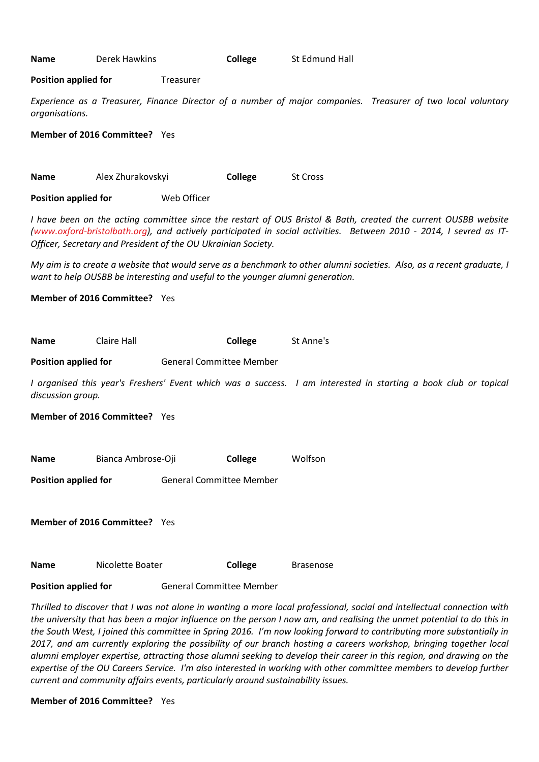**Name** Derek Hawkins **College** St Edmund Hall

**Position applied for** Treasurer

*Experience as a Treasurer, Finance Director of a number of major companies. Treasurer of two local voluntary organisations.*

**Member of 2016 Committee?** Yes

**Name** Alex Zhurakovskyi **College** St Cross **Position applied for** Web Officer

*I have been on the acting committee since the restart of OUS Bristol & Bath, created the current OUSBB website (www.oxford-bristolbath.org), and actively participated in social activities. Between 2010 - 2014, I sevred as IT-Officer, Secretary and President of the OU Ukrainian Society.* 

*My aim is to create a website that would serve as a benchmark to other alumni societies. Also, as a recent graduate, I want to help OUSBB be interesting and useful to the younger alumni generation.*

**Member of 2016 Committee?** Yes

| Name                        | Claire Hall                          |                                 | College        | St Anne's                                                                                                       |  |  |  |
|-----------------------------|--------------------------------------|---------------------------------|----------------|-----------------------------------------------------------------------------------------------------------------|--|--|--|
| <b>Position applied for</b> |                                      | <b>General Committee Member</b> |                |                                                                                                                 |  |  |  |
| discussion group.           |                                      |                                 |                | I organised this year's Freshers' Event which was a success. I am interested in starting a book club or topical |  |  |  |
|                             | <b>Member of 2016 Committee?</b> Yes |                                 |                |                                                                                                                 |  |  |  |
|                             |                                      |                                 |                |                                                                                                                 |  |  |  |
| Name                        | Bianca Ambrose-Oji                   |                                 | <b>College</b> | Wolfson                                                                                                         |  |  |  |
| <b>Position applied for</b> |                                      | <b>General Committee Member</b> |                |                                                                                                                 |  |  |  |
|                             | <b>Member of 2016 Committee?</b> Yes |                                 |                |                                                                                                                 |  |  |  |

**Position applied for General Committee Member** 

**Name Nicolette Boater College** Brasenose

*Thrilled to discover that I was not alone in wanting a more local professional, social and intellectual connection with the university that has been a major influence on the person I now am, and realising the unmet potential to do this in the South West, I joined this committee in Spring 2016. I'm now looking forward to contributing more substantially in 2017, and am currently exploring the possibility of our branch hosting a careers workshop, bringing together local alumni employer expertise, attracting those alumni seeking to develop their career in this region, and drawing on the expertise of the OU Careers Service. I'm also interested in working with other committee members to develop further current and community affairs events, particularly around sustainability issues.* 

**Member of 2016 Committee?** Yes